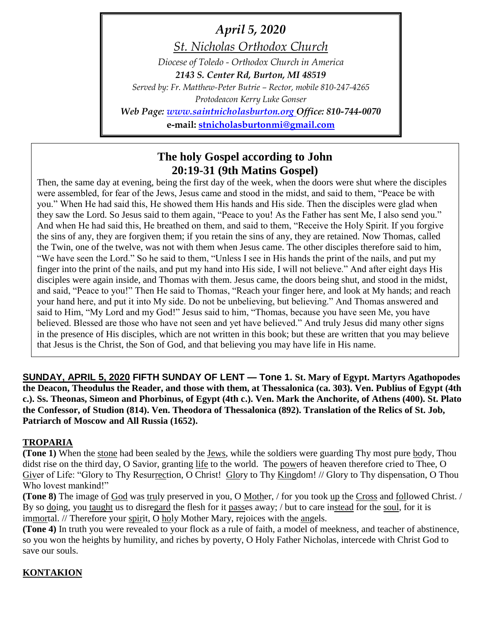*April 5, 2020*

*St. Nicholas Orthodox Church*

*Diocese of Toledo - Orthodox Church in America 2143 S. Center Rd, Burton, MI 48519*

*Served by: Fr. Matthew-Peter Butrie – Rector, mobile 810-247-4265 Protodeacon Kerry Luke Gonser*

*Web Page: [www.saintnicholasburton.org](http://www.saintnicholasburton.org/) Office: 810-744-0070*

**e-mail: [stnicholasburtonmi@gmail.com](mailto:stnicholasburtonmi@gmail.com)**

# **The holy Gospel according to John 20:19-31 (9th Matins Gospel)**

Then, the same day at evening, being the first day of the week, when the doors were shut where the disciples were assembled, for fear of the Jews, Jesus came and stood in the midst, and said to them, "Peace be with you." When He had said this, He showed them His hands and His side. Then the disciples were glad when they saw the Lord. So Jesus said to them again, "Peace to you! As the Father has sent Me, I also send you." And when He had said this, He breathed on them, and said to them, "Receive the Holy Spirit. If you forgive the sins of any, they are forgiven them; if you retain the sins of any, they are retained. Now Thomas, called the Twin, one of the twelve, was not with them when Jesus came. The other disciples therefore said to him, "We have seen the Lord." So he said to them, "Unless I see in His hands the print of the nails, and put my finger into the print of the nails, and put my hand into His side, I will not believe." And after eight days His disciples were again inside, and Thomas with them. Jesus came, the doors being shut, and stood in the midst, and said, "Peace to you!" Then He said to Thomas, "Reach your finger here, and look at My hands; and reach your hand here, and put it into My side. Do not be unbelieving, but believing." And Thomas answered and said to Him, "My Lord and my God!" Jesus said to him, "Thomas, because you have seen Me, you have believed. Blessed are those who have not seen and yet have believed." And truly Jesus did many other signs in the presence of His disciples, which are not written in this book; but these are written that you may believe that Jesus is the Christ, the Son of God, and that believing you may have life in His name.

**SUNDAY, APRIL 5, 2020 FIFTH SUNDAY OF LENT — Tone 1. St. Mary of Egypt. Martyrs Agathopodes the Deacon, Theodulus the Reader, and those with them, at Thessalonica (ca. 303). Ven. Publius of Egypt (4th c.). Ss. Theonas, Simeon and Phorbinus, of Egypt (4th c.). Ven. Mark the Anchorite, of Athens (400). St. Plato the Confessor, of Studion (814). Ven. Theodora of Thessalonica (892). Translation of the Relics of St. Job, Patriarch of Moscow and All Russia (1652).**

# **TROPARIA**

**(Tone 1)** When the stone had been sealed by the Jews, while the soldiers were guarding Thy most pure body, Thou didst rise on the third day, O Savior, granting life to the world. The powers of heaven therefore cried to Thee, O Giver of Life: "Glory to Thy Resurrection, O Christ! Glory to Thy Kingdom! // Glory to Thy dispensation, O Thou Who lovest mankind!"

**(Tone 8)** The image of God was truly preserved in you, O Mother, / for you took up the Cross and followed Christ. / By so doing, you taught us to disregard the flesh for it passes away; / but to care instead for the soul, for it is immortal. // Therefore your spirit, O holy Mother Mary, rejoices with the angels.

**(Tone 4)** In truth you were revealed to your flock as a rule of faith, a model of meekness, and teacher of abstinence, so you won the heights by humility, and riches by poverty, O Holy Father Nicholas, intercede with Christ God to save our souls.

# **KONTAKION**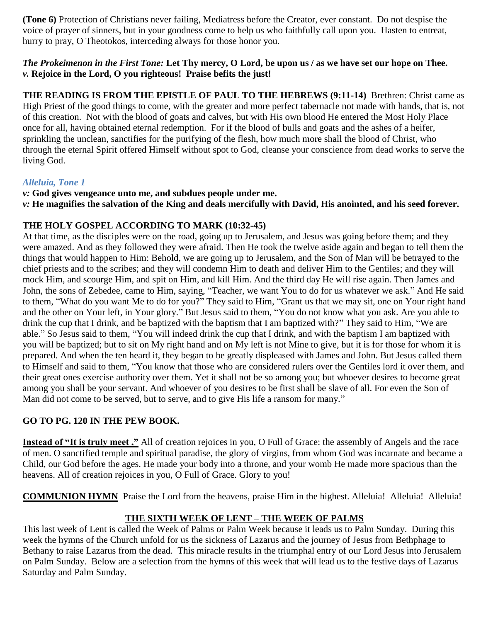**(Tone 6)** Protection of Christians never failing, Mediatress before the Creator, ever constant. Do not despise the voice of prayer of sinners, but in your goodness come to help us who faithfully call upon you. Hasten to entreat, hurry to pray, O Theotokos, interceding always for those honor you.

### *The Prokeimenon in the First Tone:* **Let Thy mercy, O Lord, be upon us / as we have set our hope on Thee.** *v.* **Rejoice in the Lord, O you righteous! Praise befits the just!**

**THE READING IS FROM THE EPISTLE OF PAUL TO THE HEBREWS (9:11-14)** Brethren: Christ came as High Priest of the good things to come, with the greater and more perfect tabernacle not made with hands, that is, not of this creation. Not with the blood of goats and calves, but with His own blood He entered the Most Holy Place once for all, having obtained eternal redemption. For if the blood of bulls and goats and the ashes of a heifer, sprinkling the unclean, sanctifies for the purifying of the flesh, how much more shall the blood of Christ, who through the eternal Spirit offered Himself without spot to God, cleanse your conscience from dead works to serve the living God.

## *Alleluia, Tone 1*

## *v:* **God gives vengeance unto me, and subdues people under me.**

*v:* **He magnifies the salvation of the King and deals mercifully with David, His anointed, and his seed forever.**

# **THE HOLY GOSPEL ACCORDING TO MARK (10:32-45)**

At that time, as the disciples were on the road, going up to Jerusalem, and Jesus was going before them; and they were amazed. And as they followed they were afraid. Then He took the twelve aside again and began to tell them the things that would happen to Him: Behold, we are going up to Jerusalem, and the Son of Man will be betrayed to the chief priests and to the scribes; and they will condemn Him to death and deliver Him to the Gentiles; and they will mock Him, and scourge Him, and spit on Him, and kill Him. And the third day He will rise again. Then James and John, the sons of Zebedee, came to Him, saying, "Teacher, we want You to do for us whatever we ask." And He said to them, "What do you want Me to do for you?" They said to Him, "Grant us that we may sit, one on Your right hand and the other on Your left, in Your glory." But Jesus said to them, "You do not know what you ask. Are you able to drink the cup that I drink, and be baptized with the baptism that I am baptized with?" They said to Him, "We are able." So Jesus said to them, "You will indeed drink the cup that I drink, and with the baptism I am baptized with you will be baptized; but to sit on My right hand and on My left is not Mine to give, but it is for those for whom it is prepared. And when the ten heard it, they began to be greatly displeased with James and John. But Jesus called them to Himself and said to them, "You know that those who are considered rulers over the Gentiles lord it over them, and their great ones exercise authority over them. Yet it shall not be so among you; but whoever desires to become great among you shall be your servant. And whoever of you desires to be first shall be slave of all. For even the Son of Man did not come to be served, but to serve, and to give His life a ransom for many."

# **GO TO PG. 120 IN THE PEW BOOK.**

**Instead of "It is truly meet ,"** All of creation rejoices in you, O Full of Grace: the assembly of Angels and the race of men. O sanctified temple and spiritual paradise, the glory of virgins, from whom God was incarnate and became a Child, our God before the ages. He made your body into a throne, and your womb He made more spacious than the heavens. All of creation rejoices in you, O Full of Grace. Glory to you!

**COMMUNION HYMN** Praise the Lord from the heavens, praise Him in the highest. Alleluia! Alleluia! Alleluia!

# **THE SIXTH WEEK OF LENT – THE WEEK OF PALMS**

This last week of Lent is called the Week of Palms or Palm Week because it leads us to Palm Sunday. During this week the hymns of the Church unfold for us the sickness of Lazarus and the journey of Jesus from Bethphage to Bethany to raise Lazarus from the dead. This miracle results in the triumphal entry of our Lord Jesus into Jerusalem on Palm Sunday. Below are a selection from the hymns of this week that will lead us to the festive days of Lazarus Saturday and Palm Sunday.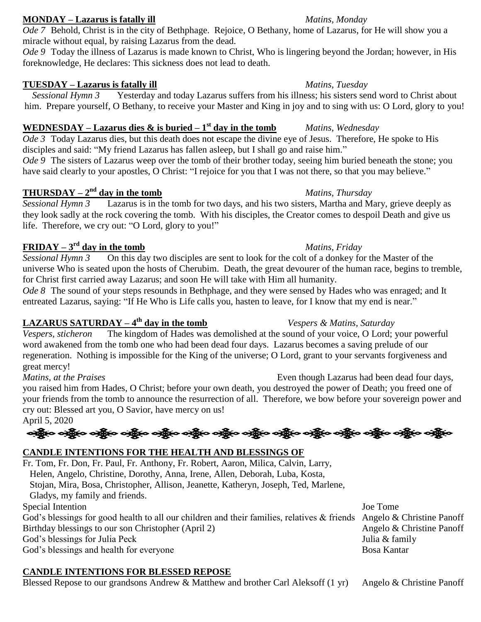### **MONDAY – Lazarus is fatally ill** *Matins, Monday*

*Ode* 7 Behold, Christ is in the city of Bethphage. Rejoice, O Bethany, home of Lazarus, for He will show you a miracle without equal, by raising Lazarus from the dead.

*Ode 9* Today the illness of Lazarus is made known to Christ, Who is lingering beyond the Jordan; however, in His foreknowledge, He declares: This sickness does not lead to death.

### **TUESDAY – Lazarus is fatally ill** *Matins, Tuesday*

*Sessional Hymn 3* Yesterday and today Lazarus suffers from his illness; his sisters send word to Christ about him. Prepare yourself, O Bethany, to receive your Master and King in joy and to sing with us: O Lord, glory to you!

# **WEDNESDAY** – **Lazarus dies & is buried – 1<sup>st</sup> day in the tomb** *Matins, Wednesday*

*Ode 3* Today Lazarus dies, but this death does not escape the divine eye of Jesus. Therefore, He spoke to His disciples and said: "My friend Lazarus has fallen asleep, but I shall go and raise him."

*Ode 9* The sisters of Lazarus weep over the tomb of their brother today, seeing him buried beneath the stone; you have said clearly to your apostles, O Christ: "I rejoice for you that I was not there, so that you may believe."

# **THURSDAY** –  $2^{\text{nd}}$  day in the tomb *Matins, Thursday*

*Sessional Hymn 3* Lazarus is in the tomb for two days, and his two sisters, Martha and Mary, grieve deeply as they look sadly at the rock covering the tomb. With his disciples, the Creator comes to despoil Death and give us life. Therefore, we cry out: "O Lord, glory to you!"

# **FRIDAY** –  $3^{\text{rd}}$  day in the tomb *Matins, Friday*

*Sessional Hymn 3* On this day two disciples are sent to look for the colt of a donkey for the Master of the universe Who is seated upon the hosts of Cherubim. Death, the great devourer of the human race, begins to tremble, for Christ first carried away Lazarus; and soon He will take with Him all humanity.

*Ode 8* The sound of your steps resounds in Bethphage, and they were sensed by Hades who was enraged; and It entreated Lazarus, saying: "If He Who is Life calls you, hasten to leave, for I know that my end is near."

# **LAZARUS SATURDAY – 4**

*Vespers, sticheron* The kingdom of Hades was demolished at the sound of your voice, O Lord; your powerful word awakened from the tomb one who had been dead four days. Lazarus becomes a saving prelude of our regeneration. Nothing is impossible for the King of the universe; O Lord, grant to your servants forgiveness and great mercy!

*Matins, at the Praises* Even though Lazarus had been dead four days, you raised him from Hades, O Christ; before your own death, you destroyed the power of Death; you freed one of your friends from the tomb to announce the resurrection of all. Therefore, we bow before your sovereign power and cry out: Blessed art you, O Savior, have mercy on us! April 5, 2020

ઓફ્રિંગ ઓફ્રિંગ ઓફ્રિંગ ઓફ્રિંગ ઓફ્રિંગ ઓફ્રિંગ ઓફ્રિંગ ઓફ્રિંગ ઓફ્રિંગ ઓફ્રિંગ ઓફ્રિંગ ઓફ્રિંગ

# **CANDLE INTENTIONS FOR THE HEALTH AND BLESSINGS OF**

Fr. Tom, Fr. Don, Fr. Paul, Fr. Anthony, Fr. Robert, Aaron, Milica, Calvin, Larry, Helen, Angelo, Christine, Dorothy, Anna, Irene, Allen, Deborah, Luba, Kosta, Stojan, Mira, Bosa, Christopher, Allison, Jeanette, Katheryn, Joseph, Ted, Marlene, Gladys, my family and friends. Special Intention Joe Tome God's blessings for good health to all our children and their families, relatives & friends Angelo & Christine Panoff Birthday blessings to our son Christopher (April 2) Angelo & Christine Panoff God's blessings for Julia Peck Julia & family God's blessings and health for everyone Bosa Kantar

# **CANDLE INTENTIONS FOR BLESSED REPOSE**

Blessed Repose to our grandsons Andrew & Matthew and brother Carl Aleksoff (1 yr) Angelo & Christine Panoff

#### *Vespers & Matins, Saturday*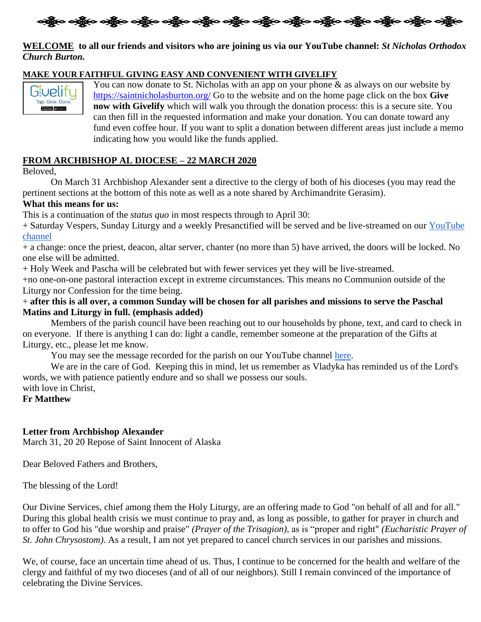

### **WELCOME to all our friends and visitors who are joining us via our YouTube channel:** *St Nicholas Orthodox Church Burton.*

#### **MAKE YOUR FAITHFUL GIVING EASY AND CONVENIENT WITH GIVELIFY**



You can now donate to St. Nicholas with an app on your phone & as always on our website by <https://saintnicholasburton.org/> Go to the website and on the home page click on the box **Give now with Givelify** which will walk you through the donation process: this is a secure site. You can then fill in the requested information and make your donation. You can donate toward any fund even coffee hour. If you want to split a donation between different areas just include a memo indicating how you would like the funds applied.

#### **FROM ARCHBISHOP AL DIOCESE – 22 MARCH 2020**

Beloved,

On March 31 Archbishop Alexander sent a directive to the clergy of both of his dioceses (you may read the pertinent sections at the bottom of this note as well as a note shared by Archimandrite Gerasim).

#### **What this means for us:**

This is a continuation of the *status quo* in most respects through to April 30:

+ Saturday Vespers, Sunday Liturgy and a weekly Presanctified will be served and be live-streamed on our [YouTube](https://www.youtube.com/channel/UC59tV-Re443z-GCoETAUvfA)  [channel](https://www.youtube.com/channel/UC59tV-Re443z-GCoETAUvfA)

+ a change: once the priest, deacon, altar server, chanter (no more than 5) have arrived, the doors will be locked. No one else will be admitted.

+ Holy Week and Pascha will be celebrated but with fewer services yet they will be live-streamed.

+no one-on-one pastoral interaction except in extreme circumstances. This means no Communion outside of the Liturgy nor Confession for the time being.

#### + **after this is all over, a common Sunday will be chosen for all parishes and missions to serve the Paschal Matins and Liturgy in full. (emphasis added)**

Members of the parish council have been reaching out to our households by phone, text, and card to check in on everyone. If there is anything I can do: light a candle, remember someone at the preparation of the Gifts at Liturgy, etc., please let me know.

You may see the message recorded for the parish on our YouTube channel [here.](https://youtu.be/Ko4qvffnSOs)

We are in the care of God. Keeping this in mind, let us remember as Vladyka has reminded us of the Lord's words, we with patience patiently endure and so shall we possess our souls. with love in Christ,

# **Fr Matthew**

### **Letter from Archbishop Alexander**

March 31, 20 20 Repose of Saint Innocent of Alaska

Dear Beloved Fathers and Brothers,

The blessing of the Lord!

Our Divine Services, chief among them the Holy Liturgy, are an offering made to God "on behalf of all and for all." During this global health crisis we must continue to pray and, as long as possible, to gather for prayer in church and to offer to God his "due worship and praise" *(Prayer of the Trisagion)*, as is "proper and right" *(Eucharistic Prayer of St. John Chrysostom)*. As a result, I am not yet prepared to cancel church services in our parishes and missions.

We, of course, face an uncertain time ahead of us. Thus, I continue to be concerned for the health and welfare of the clergy and faithful of my two dioceses (and of all of our neighbors). Still I remain convinced of the importance of celebrating the Divine Services.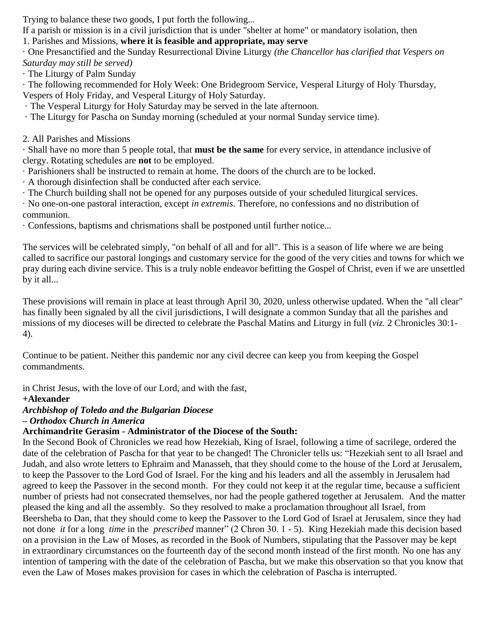Trying to balance these two goods, I put forth the following...

If a parish or mission is in a civil jurisdiction that is under "shelter at home" or mandatory isolation, then

1. Parishes and Missions, **where it is feasible and appropriate, may serve**

· One Presanctified and the Sunday Resurrectional Divine Liturgy *(the Chancellor has clarified that Vespers on Saturday may still be served)*

· The Liturgy of Palm Sunday

· The following recommended for Holy Week: One Bridegroom Service, Vesperal Liturgy of Holy Thursday, Vespers of Holy Friday, and Vesperal Liturgy of Holy Saturday.

· The Vesperal Liturgy for Holy Saturday may be served in the late afternoon.

· The Liturgy for Pascha on Sunday morning (scheduled at your normal Sunday service time).

## 2. All Parishes and Missions

· Shall have no more than 5 people total, that **must be the same** for every service, in attendance inclusive of clergy. Rotating schedules are **not** to be employed.

· Parishioners shall be instructed to remain at home. The doors of the church are to be locked.

· A thorough disinfection shall be conducted after each service.

· The Church building shall not be opened for any purposes outside of your scheduled liturgical services.

· No one-on-one pastoral interaction, except *in extremis*. Therefore, no confessions and no distribution of communion.

· Confessions, baptisms and chrismations shall be postponed until further notice...

The services will be celebrated simply, "on behalf of all and for all". This is a season of life where we are being called to sacrifice our pastoral longings and customary service for the good of the very cities and towns for which we pray during each divine service. This is a truly noble endeavor befitting the Gospel of Christ, even if we are unsettled by it all...

These provisions will remain in place at least through April 30, 2020, unless otherwise updated. When the "all clear" has finally been signaled by all the civil jurisdictions, I will designate a common Sunday that all the parishes and missions of my dioceses will be directed to celebrate the Paschal Matins and Liturgy in full (*viz.* 2 Chronicles 30:1- 4).

Continue to be patient. Neither this pandemic nor any civil decree can keep you from keeping the Gospel commandments.

in Christ Jesus, with the love of our Lord, and with the fast,

# **+Alexander**

# *Archbishop of Toledo and the Bulgarian Diocese*

*– Orthodox Church in America*

# **Archimandrite Gerasim - Administrator of the Diocese of the South:**

In the Second Book of Chronicles we read how Hezekiah, King of Israel, following a time of sacrilege, ordered the date of the celebration of Pascha for that year to be changed! The Chronicler tells us: "Hezekiah sent to all Israel and Judah, and also wrote letters to Ephraim and Manasseh, that they should come to the house of the Lord at Jerusalem, to keep the Passover to the Lord God of Israel. For the king and his leaders and all the assembly in Jerusalem had agreed to keep the Passover in the second month. For they could not keep it at the regular time, because a sufficient number of priests had not consecrated themselves, nor had the people gathered together at Jerusalem. And the matter pleased the king and all the assembly. So they resolved to make a proclamation throughout all Israel, from Beersheba to Dan, that they should come to keep the Passover to the Lord God of Israel at Jerusalem, since they had not done *it* for a long *time* in the *prescribed* manner" (2 Chron 30. 1 - 5). King Hezekiah made this decision based on a provision in the Law of Moses, as recorded in the Book of Numbers, stipulating that the Passover may be kept in extraordinary circumstances on the fourteenth day of the second month instead of the first month. No one has any intention of tampering with the date of the celebration of Pascha, but we make this observation so that you know that even the Law of Moses makes provision for cases in which the celebration of Pascha is interrupted.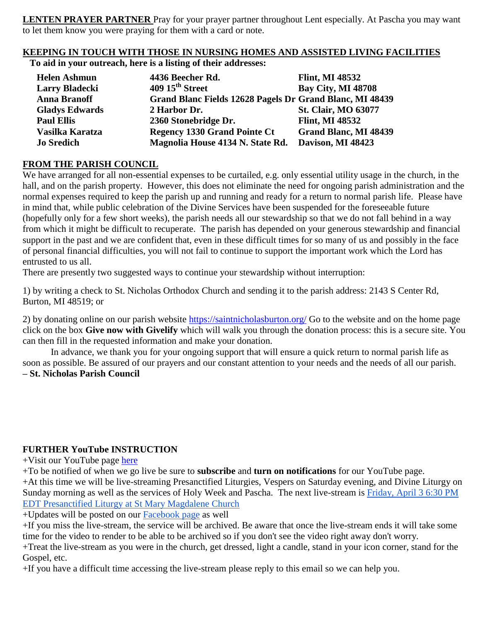**LENTEN PRAYER PARTNER** Pray for your prayer partner throughout Lent especially. At Pascha you may want to let them know you were praying for them with a card or note.

## **KEEPING IN TOUCH WITH THOSE IN NURSING HOMES AND ASSISTED LIVING FACILITIES**

**To aid in your outreach, here is a listing of their addresses:**

| <b>Helen Ashmun</b>   | 4436 Beecher Rd.                                         | <b>Flint, MI 48532</b>       |
|-----------------------|----------------------------------------------------------|------------------------------|
| <b>Larry Bladecki</b> | 409 15 <sup>th</sup> Street                              | <b>Bay City, MI 48708</b>    |
| <b>Anna Branoff</b>   | Grand Blanc Fields 12628 Pagels Dr Grand Blanc, MI 48439 |                              |
| <b>Gladys Edwards</b> | 2 Harbor Dr.                                             | <b>St. Clair, MO 63077</b>   |
| <b>Paul Ellis</b>     | 2360 Stonebridge Dr.                                     | <b>Flint, MI 48532</b>       |
| Vasilka Karatza       | <b>Regency 1330 Grand Pointe Ct</b>                      | <b>Grand Blanc, MI 48439</b> |
| <b>Jo Sredich</b>     | Magnolia House 4134 N. State Rd.                         | Davison, MI 48423            |

## **FROM THE PARISH COUNCIL**

We have arranged for all non-essential expenses to be curtailed, e.g. only essential utility usage in the church, in the hall, and on the parish property. However, this does not eliminate the need for ongoing parish administration and the normal expenses required to keep the parish up and running and ready for a return to normal parish life. Please have in mind that, while public celebration of the Divine Services have been suspended for the foreseeable future (hopefully only for a few short weeks), the parish needs all our stewardship so that we do not fall behind in a way from which it might be difficult to recuperate. The parish has depended on your generous stewardship and financial support in the past and we are confident that, even in these difficult times for so many of us and possibly in the face of personal financial difficulties, you will not fail to continue to support the important work which the Lord has entrusted to us all.

There are presently two suggested ways to continue your stewardship without interruption:

1) by writing a check to St. Nicholas Orthodox Church and sending it to the parish address: 2143 S Center Rd, Burton, MI 48519; or

2) by donating online on our parish website <https://saintnicholasburton.org/> Go to the website and on the home page click on the box **Give now with Givelify** which will walk you through the donation process: this is a secure site. You can then fill in the requested information and make your donation.

In advance, we thank you for your ongoing support that will ensure a quick return to normal parish life as soon as possible. Be assured of our prayers and our constant attention to your needs and the needs of all our parish. **– St. Nicholas Parish Council**

# **FURTHER YouTube INSTRUCTION**

+Visit our YouTube page [here](https://www.youtube.com/channel/UC59tV-Re443z-GCoETAUvfA)

+To be notified of when we go live be sure to **subscribe** and **turn on notifications** for our YouTube page.

+At this time we will be live-streaming Presanctified Liturgies, Vespers on Saturday evening, and Divine Liturgy on Sunday morning as well as the services of Holy Week and Pascha. The next live-stream is [Friday, April 3 6:30 PM](https://www.youtube.com/watch?v=MkZUgp1Pdi8)  [EDT Presanctified Liturgy at St Mary Magdalene Church](https://www.youtube.com/watch?v=MkZUgp1Pdi8)

+Updates will be posted on our [Facebook page](https://www.facebook.com/stnicholasburton/) as well

+If you miss the live-stream, the service will be archived. Be aware that once the live-stream ends it will take some time for the video to render to be able to be archived so if you don't see the video right away don't worry.

+Treat the live-stream as you were in the church, get dressed, light a candle, stand in your icon corner, stand for the Gospel, etc.

+If you have a difficult time accessing the live-stream please reply to this email so we can help you.